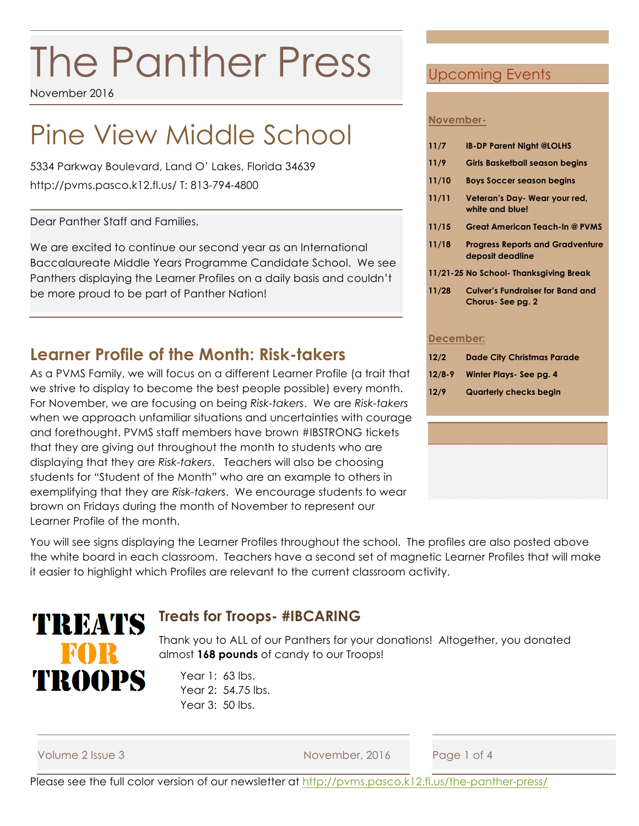# The Panther Press

November 2016

## Pine View Middle School

5334 Parkway Boulevard, Land O' Lakes, Florida 34639 http://pvms.pasco.k12.fl.us/ T: 813-794-4800

Dear Panther Staff and Families,

We are excited to continue our second year as an International Baccalaureate Middle Years Programme Candidate School. We see Panthers displaying the Learner Profiles on a daily basis and couldn't be more proud to be part of Panther Nation!

#### **Learner Profile of the Month: Risk-takers**

As a PVMS Family, we will focus on a different Learner Profile (a trait that we strive to display to become the best people possible) every month. For November, we are focusing on being *Risk-takers*. We are *Risk-takers* when we approach unfamiliar situations and uncertainties with courage and forethought. PVMS staff members have brown #IBSTRONG tickets that they are giving out throughout the month to students who are displaying that they are *Risk-takers*. Teachers will also be choosing students for "Student of the Month" who are an example to others in exemplifying that they are *Risk-takers*. We encourage students to wear brown on Fridays during the month of November to represent our Learner Profile of the month.

#### Upcoming Events

#### **November-**

| 11/7       | <b>IB-DP Parent Night @LOLHS</b>                            |
|------------|-------------------------------------------------------------|
| 11/9       | <b>Girls Basketball season begins</b>                       |
| 11/10      | <b>Boys Soccer season begins</b>                            |
| 11/11      | Veteran's Day-Wear your red,<br>white and blue!             |
| 11/15      | <b>Great American Teach-In @ PVMS</b>                       |
| 11/18      | <b>Progress Reports and Gradventure</b><br>deposit deadline |
|            | 11/21-25 No School- Thanksgiving Break                      |
| 11/28      | <b>Culver's Fundraiser for Band and</b><br>Chorus-See pg. 2 |
| December:  |                                                             |
| 12/2       | <b>Dade City Christmas Parade</b>                           |
| $12/8 - 9$ | Winter Plays- See pg. 4                                     |
| 12/9       | <b>Quarterly checks begin</b>                               |
|            |                                                             |
|            |                                                             |
|            |                                                             |

You will see signs displaying the Learner Profiles throughout the school. The profiles are also posted above the white board in each classroom. Teachers have a second set of magnetic Learner Profiles that will make it easier to highlight which Profiles are relevant to the current classroom activity.

### TREATS FOR TROOPS

#### **Treats for Troops- #IBCARING**

Thank you to ALL of our Panthers for your donations! Altogether, you donated almost **168 pounds** of candy to our Troops!

Year 1: 63 lbs. Year 2: 54.75 lbs. Year 3: 50 lbs.

| Volume 2 Issue 3 |  |  |  |
|------------------|--|--|--|
|------------------|--|--|--|

November, 2016 Page 1 of 4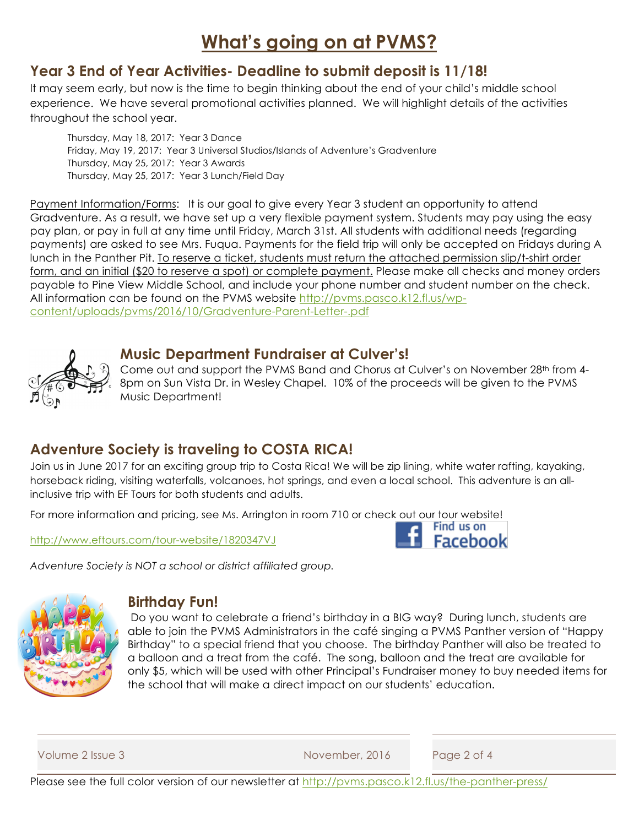### **What's going on at PVMS?**

#### **Year 3 End of Year Activities- Deadline to submit deposit is 11/18!**

It may seem early, but now is the time to begin thinking about the end of your child's middle school experience. We have several promotional activities planned. We will highlight details of the activities throughout the school year.

Thursday, May 18, 2017: Year 3 Dance Friday, May 19, 2017: Year 3 Universal Studios/Islands of Adventure's Gradventure Thursday, May 25, 2017: Year 3 Awards Thursday, May 25, 2017: Year 3 Lunch/Field Day

Payment Information/Forms: It is our goal to give every Year 3 student an opportunity to attend Gradventure. As a result, we have set up a very flexible payment system. Students may pay using the easy pay plan, or pay in full at any time until Friday, March 31st. All students with additional needs (regarding payments) are asked to see Mrs. Fuqua. Payments for the field trip will only be accepted on Fridays during A lunch in the Panther Pit. To reserve a ticket, students must return the attached permission slip/t-shirt order form, and an initial (\$20 to reserve a spot) or complete payment. Please make all checks and money orders payable to Pine View Middle School, and include your phone number and student number on the check. All information can be found on the PVMS website http://pvms.pasco.k12.fl.us/wpcontent/uploads/pvms/2016/10/Gradventure-Parent-Letter-.pdf



#### **Music Department Fundraiser at Culver's!**

Come out and support the PVMS Band and Chorus at Culver's on November 28<sup>th</sup> from 4-8pm on Sun Vista Dr. in Wesley Chapel. 10% of the proceeds will be given to the PVMS Music Department!

#### **Adventure Society is traveling to COSTA RICA!**

Join us in June 2017 for an exciting group trip to Costa Rica! We will be zip lining, white water rafting, kayaking, horseback riding, visiting waterfalls, volcanoes, hot springs, and even a local school. This adventure is an allinclusive trip with EF Tours for both students and adults.

For more information and pricing, see Ms. Arrington in room 710 or check out our tour website!

http://www.eftours.com/tour-website/1820347VJ



*Adventure Society is NOT a school or district affiliated group.*



#### **Birthday Fun!**

Do you want to celebrate a friend's birthday in a BIG way? During lunch, students are able to join the PVMS Administrators in the café singing a PVMS Panther version of "Happy Birthday" to a special friend that you choose. The birthday Panther will also be treated to a balloon and a treat from the café. The song, balloon and the treat are available for only \$5, which will be used with other Principal's Fundraiser money to buy needed items for the school that will make a direct impact on our students' education.

Volume 2 Issue 3 November, 2016 Page 2 of 4

Please see the full color version of our newsletter at http://pvms.pasco.k12.fl.us/the-panther-press/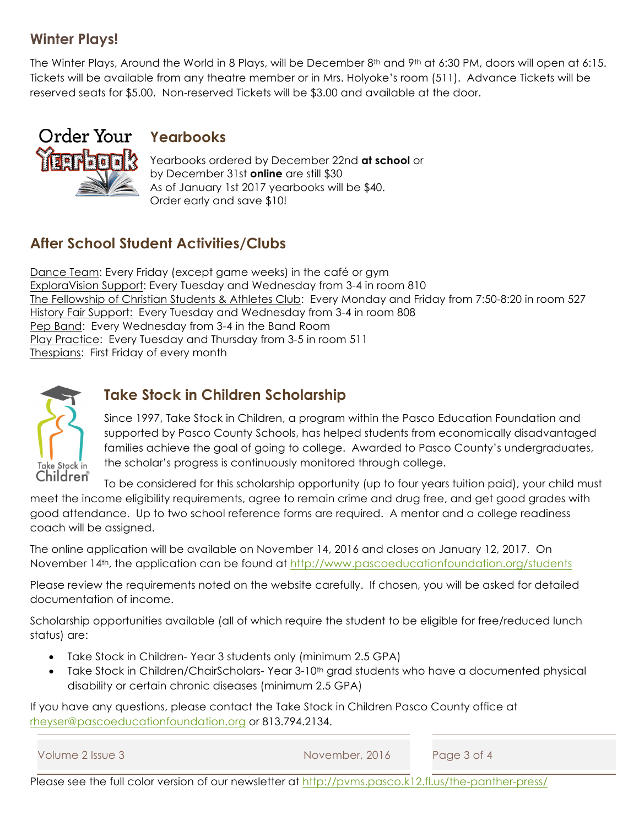#### **Winter Plays!**

The Winter Plays, Around the World in 8 Plays, will be December 8<sup>th</sup> and 9<sup>th</sup> at 6:30 PM, doors will open at 6:15. Tickets will be available from any theatre member or in Mrs. Holyoke's room (511). Advance Tickets will be reserved seats for \$5.00. Non-reserved Tickets will be \$3.00 and available at the door.



#### **Yearbooks**

Yearbooks ordered by December 22nd **at school** or by December 31st **online** are still \$30 As of January 1st 2017 yearbooks will be \$40. Order early and save \$10!

#### **After School Student Activities/Clubs**

Dance Team: Every Friday (except game weeks) in the café or gym ExploraVision Support: Every Tuesday and Wednesday from 3-4 in room 810 The Fellowship of Christian Students & Athletes Club: Every Monday and Friday from 7:50-8:20 in room 527 History Fair Support:Every Tuesday and Wednesday from 3-4 in room 808 Pep Band: Every Wednesday from 3-4 in the Band Room Play Practice: Every Tuesday and Thursday from 3-5 in room 511 **Thespians: First Friday of every month** 



#### **Take Stock in Children Scholarship**

Since 1997, Take Stock in Children, a program within the Pasco Education Foundation and supported by Pasco County Schools, has helped students from economically disadvantaged families achieve the goal of going to college. Awarded to Pasco County's undergraduates, the scholar's progress is continuously monitored through college.

To be considered for this scholarship opportunity (up to four years tuition paid), your child must meet the income eligibility requirements, agree to remain crime and drug free, and get good grades with good attendance. Up to two school reference forms are required. A mentor and a college readiness coach will be assigned.

The online application will be available on November 14, 2016 and closes on January 12, 2017. On November 14<sup>th</sup>, the application can be found at http://www.pascoeducationfoundation.org/students

Please review the requirements noted on the website carefully. If chosen, you will be asked for detailed documentation of income.

Scholarship opportunities available (all of which require the student to be eligible for free/reduced lunch status) are:

- Take Stock in Children- Year 3 students only (minimum 2.5 GPA)
- Take Stock in Children/ChairScholars-Year 3-10<sup>th</sup> grad students who have a documented physical disability or certain chronic diseases (minimum 2.5 GPA)

If you have any questions, please contact the Take Stock in Children Pasco County office at rheyser@pascoeducationfoundation.org or 813.794.2134.

```
Volume 2 Issue 3 November, 2016 Page 3 of 4
```
Please see the full color version of our newsletter at http://pvms.pasco.k12.fl.us/the-panther-press/